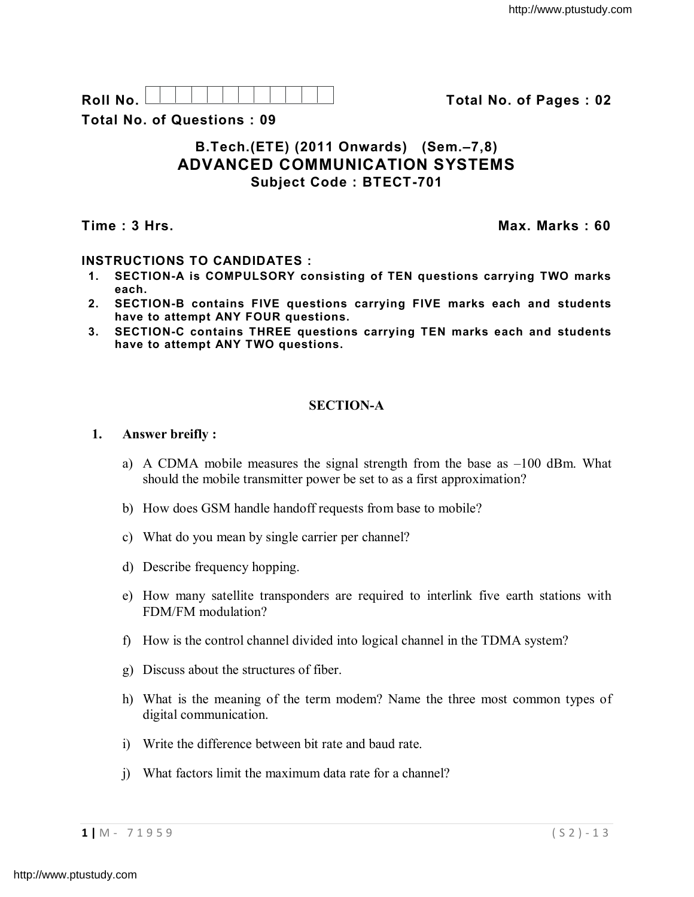| F                                                      |  |  |  |  |  |  |
|--------------------------------------------------------|--|--|--|--|--|--|
|                                                        |  |  |  |  |  |  |
| <b>.</b><br>. .<br>. .<br>$\tilde{\phantom{a}}$<br>- - |  |  |  |  |  |  |

**Roll No. Total No. of Pages : 02**

**Total No. of Questions : 09**

# **B.Tech.(ETE) (2011 Onwards) (Sem.–7,8) ADVANCED COMMUNICATION SYSTEMS Subject Code : BTECT-701**

**Time : 3 Hrs. Max. Marks : 60**

# **INSTRUCTIONS TO CANDIDATES :**

- **1. SECTION-A is COMPULSORY consisting of TEN questions carrying TWO marks each.**
- **2. SECTION-B contains FIVE questions carrying FIVE marks each and students have to attempt ANY FOUR questions.**
- **3. SECTION-C contains THREE questions carrying TEN marks each and students have to attempt ANY TWO questions.**

# **SECTION-A**

## **1. Answer breifly :**

- a) A CDMA mobile measures the signal strength from the base as  $-100$  dBm. What should the mobile transmitter power be set to as a first approximation?
- b) How does GSM handle handoff requests from base to mobile?
- c) What do you mean by single carrier per channel?
- d) Describe frequency hopping.
- e) How many satellite transponders are required to interlink five earth stations with FDM/FM modulation?
- f) How is the control channel divided into logical channel in the TDMA system?
- g) Discuss about the structures of fiber.
- h) What is the meaning of the term modem? Name the three most common types of digital communication.
- i) Write the difference between bit rate and baud rate.
- j) What factors limit the maximum data rate for a channel?